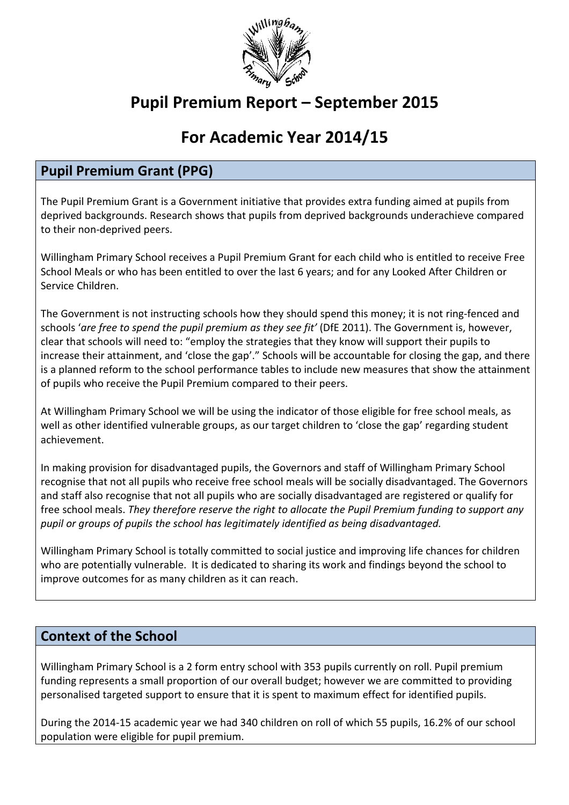

# Pupil Premium Report – September 2015

# For Academic Year 2014/15

## Pupil Premium Grant (PPG)

The Pupil Premium Grant is a Government initiative that provides extra funding aimed at pupils from deprived backgrounds. Research shows that pupils from deprived backgrounds underachieve compared to their non‐deprived peers.

Willingham Primary School receives a Pupil Premium Grant for each child who is entitled to receive Free School Meals or who has been entitled to over the last 6 years; and for any Looked After Children or Service Children.

The Government is not instructing schools how they should spend this money; it is not ring-fenced and schools 'are free to spend the pupil premium as they see fit' (DfE 2011). The Government is, however, clear that schools will need to: "employ the strategies that they know will support their pupils to increase their attainment, and 'close the gap'." Schools will be accountable for closing the gap, and there is a planned reform to the school performance tables to include new measures that show the attainment of pupils who receive the Pupil Premium compared to their peers.

At Willingham Primary School we will be using the indicator of those eligible for free school meals, as well as other identified vulnerable groups, as our target children to 'close the gap' regarding student achievement.

In making provision for disadvantaged pupils, the Governors and staff of Willingham Primary School recognise that not all pupils who receive free school meals will be socially disadvantaged. The Governors and staff also recognise that not all pupils who are socially disadvantaged are registered or qualify for free school meals. They therefore reserve the right to allocate the Pupil Premium funding to support any pupil or groups of pupils the school has legitimately identified as being disadvantaged.

Willingham Primary School is totally committed to social justice and improving life chances for children who are potentially vulnerable. It is dedicated to sharing its work and findings beyond the school to improve outcomes for as many children as it can reach.

## Context of the School

Willingham Primary School is a 2 form entry school with 353 pupils currently on roll. Pupil premium funding represents a small proportion of our overall budget; however we are committed to providing personalised targeted support to ensure that it is spent to maximum effect for identified pupils.

During the 2014‐15 academic year we had 340 children on roll of which 55 pupils, 16.2% of our school population were eligible for pupil premium.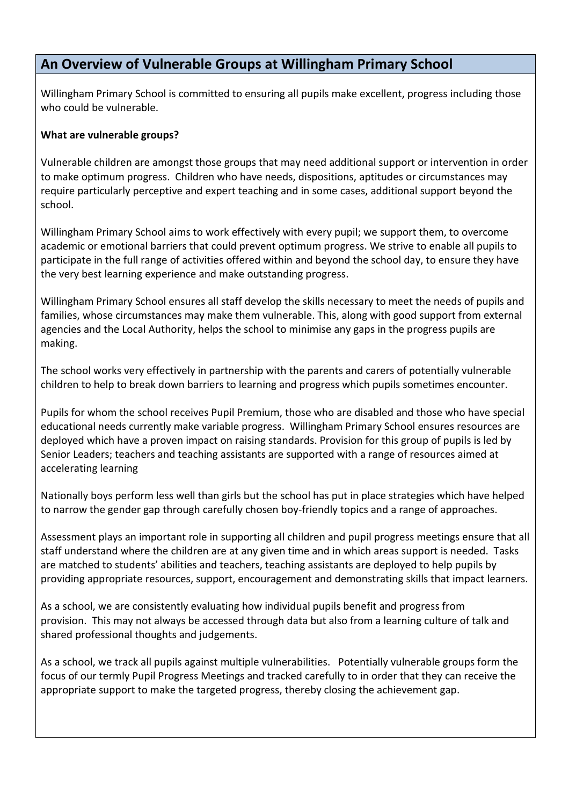### An Overview of Vulnerable Groups at Willingham Primary School

Willingham Primary School is committed to ensuring all pupils make excellent, progress including those who could be vulnerable.

#### What are vulnerable groups?

Vulnerable children are amongst those groups that may need additional support or intervention in order to make optimum progress. Children who have needs, dispositions, aptitudes or circumstances may require particularly perceptive and expert teaching and in some cases, additional support beyond the school.

Willingham Primary School aims to work effectively with every pupil; we support them, to overcome academic or emotional barriers that could prevent optimum progress. We strive to enable all pupils to participate in the full range of activities offered within and beyond the school day, to ensure they have the very best learning experience and make outstanding progress.

Willingham Primary School ensures all staff develop the skills necessary to meet the needs of pupils and families, whose circumstances may make them vulnerable. This, along with good support from external agencies and the Local Authority, helps the school to minimise any gaps in the progress pupils are making.

The school works very effectively in partnership with the parents and carers of potentially vulnerable children to help to break down barriers to learning and progress which pupils sometimes encounter.

Pupils for whom the school receives Pupil Premium, those who are disabled and those who have special educational needs currently make variable progress. Willingham Primary School ensures resources are deployed which have a proven impact on raising standards. Provision for this group of pupils is led by Senior Leaders; teachers and teaching assistants are supported with a range of resources aimed at accelerating learning

Nationally boys perform less well than girls but the school has put in place strategies which have helped to narrow the gender gap through carefully chosen boy-friendly topics and a range of approaches.

Assessment plays an important role in supporting all children and pupil progress meetings ensure that all staff understand where the children are at any given time and in which areas support is needed. Tasks are matched to students' abilities and teachers, teaching assistants are deployed to help pupils by providing appropriate resources, support, encouragement and demonstrating skills that impact learners.

As a school, we are consistently evaluating how individual pupils benefit and progress from provision. This may not always be accessed through data but also from a learning culture of talk and shared professional thoughts and judgements.

As a school, we track all pupils against multiple vulnerabilities. Potentially vulnerable groups form the focus of our termly Pupil Progress Meetings and tracked carefully to in order that they can receive the appropriate support to make the targeted progress, thereby closing the achievement gap.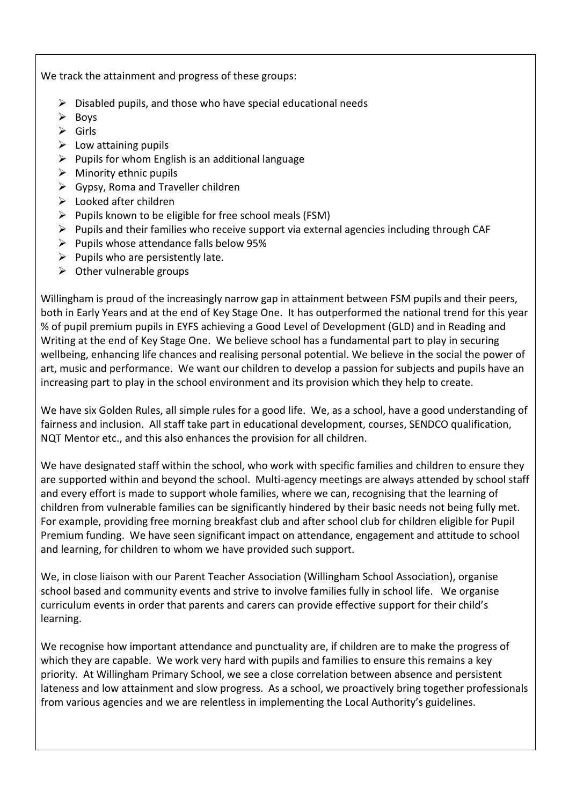We track the attainment and progress of these groups:

- $\triangleright$  Disabled pupils, and those who have special educational needs
- $\triangleright$  Boys
- $\triangleright$  Girls
- $\triangleright$  Low attaining pupils
- $\triangleright$  Pupils for whom English is an additional language
- $\triangleright$  Minority ethnic pupils
- $\triangleright$  Gypsy, Roma and Traveller children
- $\triangleright$  Looked after children
- $\triangleright$  Pupils known to be eligible for free school meals (FSM)
- $\triangleright$  Pupils and their families who receive support via external agencies including through CAF
- $\triangleright$  Pupils whose attendance falls below 95%
- $\triangleright$  Pupils who are persistently late.
- $\triangleright$  Other vulnerable groups

Willingham is proud of the increasingly narrow gap in attainment between FSM pupils and their peers, both in Early Years and at the end of Key Stage One. It has outperformed the national trend for this year % of pupil premium pupils in EYFS achieving a Good Level of Development (GLD) and in Reading and Writing at the end of Key Stage One. We believe school has a fundamental part to play in securing wellbeing, enhancing life chances and realising personal potential. We believe in the social the power of art, music and performance. We want our children to develop a passion for subjects and pupils have an increasing part to play in the school environment and its provision which they help to create.

We have six Golden Rules, all simple rules for a good life. We, as a school, have a good understanding of fairness and inclusion. All staff take part in educational development, courses, SENDCO qualification, NQT Mentor etc., and this also enhances the provision for all children.

We have designated staff within the school, who work with specific families and children to ensure they are supported within and beyond the school. Multi-agency meetings are always attended by school staff and every effort is made to support whole families, where we can, recognising that the learning of children from vulnerable families can be significantly hindered by their basic needs not being fully met. For example, providing free morning breakfast club and after school club for children eligible for Pupil Premium funding. We have seen significant impact on attendance, engagement and attitude to school and learning, for children to whom we have provided such support.

We, in close liaison with our Parent Teacher Association (Willingham School Association), organise school based and community events and strive to involve families fully in school life. We organise curriculum events in order that parents and carers can provide effective support for their child's learning.

We recognise how important attendance and punctuality are, if children are to make the progress of which they are capable. We work very hard with pupils and families to ensure this remains a key priority. At Willingham Primary School, we see a close correlation between absence and persistent lateness and low attainment and slow progress. As a school, we proactively bring together professionals from various agencies and we are relentless in implementing the Local Authority's guidelines.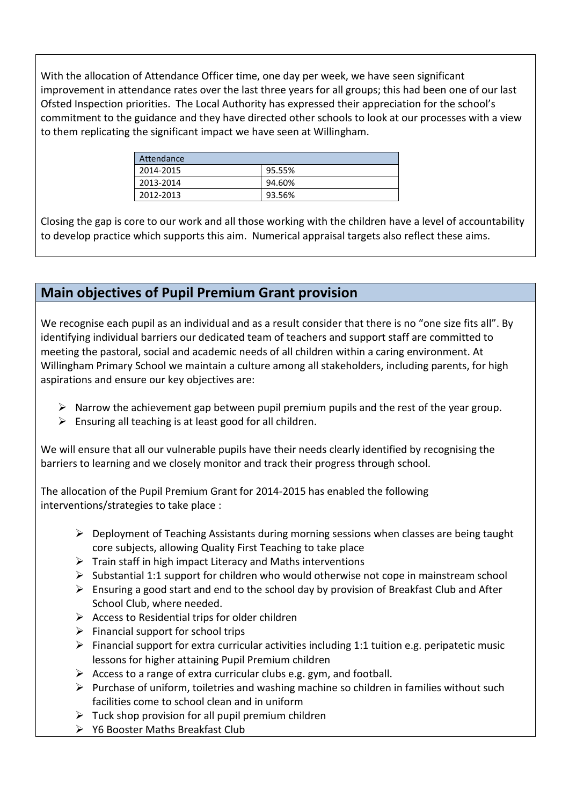With the allocation of Attendance Officer time, one day per week, we have seen significant improvement in attendance rates over the last three years for all groups; this had been one of our last Ofsted Inspection priorities. The Local Authority has expressed their appreciation for the school's commitment to the guidance and they have directed other schools to look at our processes with a view to them replicating the significant impact we have seen at Willingham.

| Attendance |        |
|------------|--------|
| 2014-2015  | 95.55% |
| 2013-2014  | 94.60% |
| 2012-2013  | 93.56% |

Closing the gap is core to our work and all those working with the children have a level of accountability to develop practice which supports this aim. Numerical appraisal targets also reflect these aims.

## Main objectives of Pupil Premium Grant provision

We recognise each pupil as an individual and as a result consider that there is no "one size fits all". By identifying individual barriers our dedicated team of teachers and support staff are committed to meeting the pastoral, social and academic needs of all children within a caring environment. At Willingham Primary School we maintain a culture among all stakeholders, including parents, for high aspirations and ensure our key objectives are:

- $\triangleright$  Narrow the achievement gap between pupil premium pupils and the rest of the year group.
- $\triangleright$  Ensuring all teaching is at least good for all children.

We will ensure that all our vulnerable pupils have their needs clearly identified by recognising the barriers to learning and we closely monitor and track their progress through school.

The allocation of the Pupil Premium Grant for 2014‐2015 has enabled the following interventions/strategies to take place :

- $\triangleright$  Deployment of Teaching Assistants during morning sessions when classes are being taught core subjects, allowing Quality First Teaching to take place
- $\triangleright$  Train staff in high impact Literacy and Maths interventions
- $\triangleright$  Substantial 1:1 support for children who would otherwise not cope in mainstream school
- $\triangleright$  Ensuring a good start and end to the school day by provision of Breakfast Club and After School Club, where needed.
- $\triangleright$  Access to Residential trips for older children
- $\triangleright$  Financial support for school trips
- $\triangleright$  Financial support for extra curricular activities including 1:1 tuition e.g. peripatetic music lessons for higher attaining Pupil Premium children
- $\triangleright$  Access to a range of extra curricular clubs e.g. gym, and football.
- $\triangleright$  Purchase of uniform, toiletries and washing machine so children in families without such facilities come to school clean and in uniform
- $\triangleright$  Tuck shop provision for all pupil premium children
- Y6 Booster Maths Breakfast Club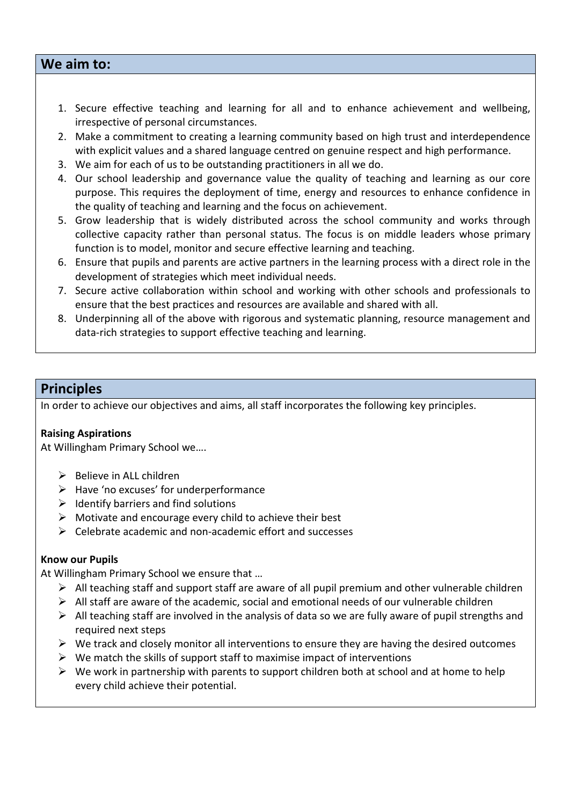#### We aim to:

- 1. Secure effective teaching and learning for all and to enhance achievement and wellbeing, irrespective of personal circumstances.
- 2. Make a commitment to creating a learning community based on high trust and interdependence with explicit values and a shared language centred on genuine respect and high performance.
- 3. We aim for each of us to be outstanding practitioners in all we do.
- 4. Our school leadership and governance value the quality of teaching and learning as our core purpose. This requires the deployment of time, energy and resources to enhance confidence in the quality of teaching and learning and the focus on achievement.
- 5. Grow leadership that is widely distributed across the school community and works through collective capacity rather than personal status. The focus is on middle leaders whose primary function is to model, monitor and secure effective learning and teaching.
- 6. Ensure that pupils and parents are active partners in the learning process with a direct role in the development of strategies which meet individual needs.
- 7. Secure active collaboration within school and working with other schools and professionals to ensure that the best practices and resources are available and shared with all.
- 8. Underpinning all of the above with rigorous and systematic planning, resource management and data‐rich strategies to support effective teaching and learning.

### **Principles**

In order to achieve our objectives and aims, all staff incorporates the following key principles.

#### Raising Aspirations

At Willingham Primary School we….

- $\triangleright$  Believe in ALL children
- $\triangleright$  Have 'no excuses' for underperformance
- $\triangleright$  Identify barriers and find solutions
- $\triangleright$  Motivate and encourage every child to achieve their best
- $\triangleright$  Celebrate academic and non-academic effort and successes

#### Know our Pupils

At Willingham Primary School we ensure that …

- $\triangleright$  All teaching staff and support staff are aware of all pupil premium and other vulnerable children
- $\triangleright$  All staff are aware of the academic, social and emotional needs of our vulnerable children
- $\triangleright$  All teaching staff are involved in the analysis of data so we are fully aware of pupil strengths and required next steps
- $\triangleright$  We track and closely monitor all interventions to ensure they are having the desired outcomes
- $\triangleright$  We match the skills of support staff to maximise impact of interventions
- $\triangleright$  We work in partnership with parents to support children both at school and at home to help every child achieve their potential.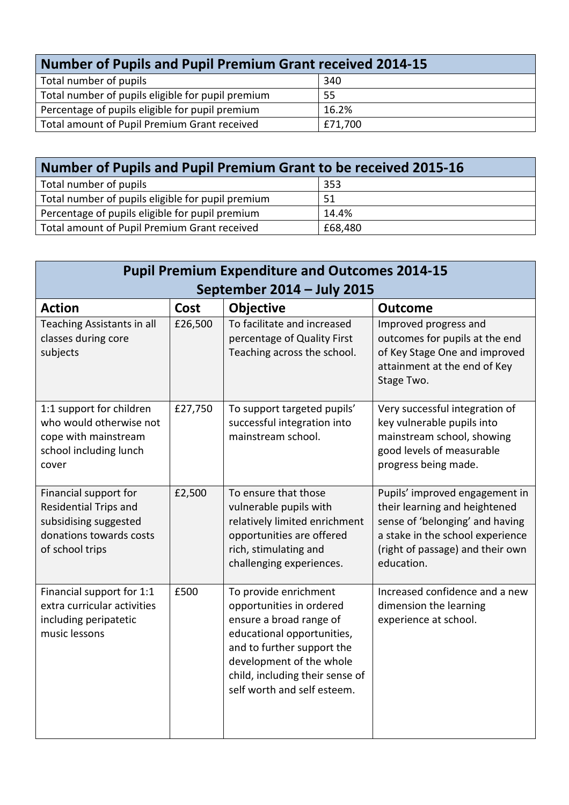| <b>Number of Pupils and Pupil Premium Grant received 2014-15</b> |         |  |  |  |
|------------------------------------------------------------------|---------|--|--|--|
| Total number of pupils                                           | 340     |  |  |  |
| Total number of pupils eligible for pupil premium                | 55      |  |  |  |
| Percentage of pupils eligible for pupil premium                  | 16.2%   |  |  |  |
| Total amount of Pupil Premium Grant received                     | £71,700 |  |  |  |

| Number of Pupils and Pupil Premium Grant to be received 2015-16 |         |  |  |  |
|-----------------------------------------------------------------|---------|--|--|--|
| Total number of pupils                                          | 353     |  |  |  |
| Total number of pupils eligible for pupil premium               | 51      |  |  |  |
| Percentage of pupils eligible for pupil premium                 | 14.4%   |  |  |  |
| Total amount of Pupil Premium Grant received                    | £68,480 |  |  |  |

| <b>Pupil Premium Expenditure and Outcomes 2014-15</b>                                                                        |         |                                                                                                                                                                                                                                        |                                                                                                                                                                                          |  |
|------------------------------------------------------------------------------------------------------------------------------|---------|----------------------------------------------------------------------------------------------------------------------------------------------------------------------------------------------------------------------------------------|------------------------------------------------------------------------------------------------------------------------------------------------------------------------------------------|--|
| September 2014 - July 2015                                                                                                   |         |                                                                                                                                                                                                                                        |                                                                                                                                                                                          |  |
| <b>Action</b>                                                                                                                | Cost    | <b>Objective</b>                                                                                                                                                                                                                       | <b>Outcome</b>                                                                                                                                                                           |  |
| Teaching Assistants in all<br>classes during core<br>subjects                                                                | £26,500 | To facilitate and increased<br>percentage of Quality First<br>Teaching across the school.                                                                                                                                              | Improved progress and<br>outcomes for pupils at the end<br>of Key Stage One and improved<br>attainment at the end of Key<br>Stage Two.                                                   |  |
| 1:1 support for children<br>who would otherwise not<br>cope with mainstream<br>school including lunch<br>cover               | £27,750 | To support targeted pupils'<br>successful integration into<br>mainstream school.                                                                                                                                                       | Very successful integration of<br>key vulnerable pupils into<br>mainstream school, showing<br>good levels of measurable<br>progress being made.                                          |  |
| Financial support for<br><b>Residential Trips and</b><br>subsidising suggested<br>donations towards costs<br>of school trips | £2,500  | To ensure that those<br>vulnerable pupils with<br>relatively limited enrichment<br>opportunities are offered<br>rich, stimulating and<br>challenging experiences.                                                                      | Pupils' improved engagement in<br>their learning and heightened<br>sense of 'belonging' and having<br>a stake in the school experience<br>(right of passage) and their own<br>education. |  |
| Financial support for 1:1<br>extra curricular activities<br>including peripatetic<br>music lessons                           | £500    | To provide enrichment<br>opportunities in ordered<br>ensure a broad range of<br>educational opportunities,<br>and to further support the<br>development of the whole<br>child, including their sense of<br>self worth and self esteem. | Increased confidence and a new<br>dimension the learning<br>experience at school.                                                                                                        |  |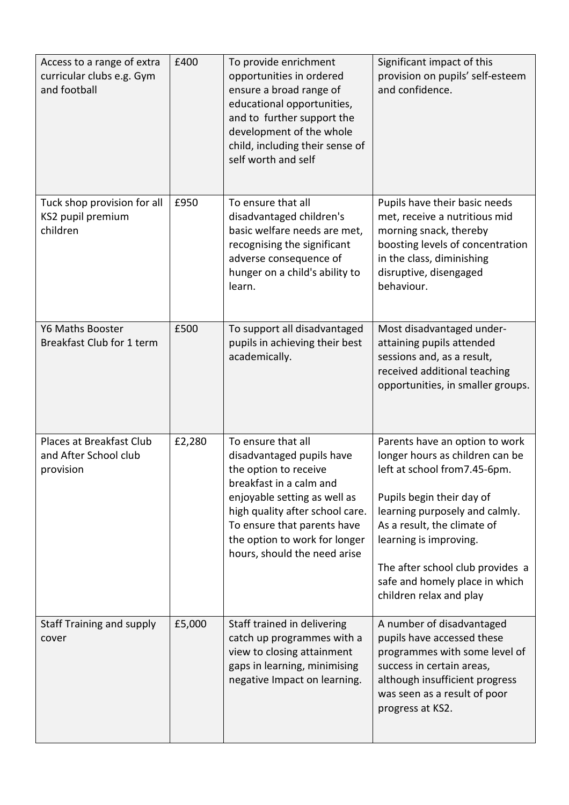| Access to a range of extra<br>curricular clubs e.g. Gym<br>and football | £400   | To provide enrichment<br>opportunities in ordered<br>ensure a broad range of<br>educational opportunities,<br>and to further support the<br>development of the whole<br>child, including their sense of<br>self worth and self                                         | Significant impact of this<br>provision on pupils' self-esteem<br>and confidence.                                                                                                                                                                                                                                          |
|-------------------------------------------------------------------------|--------|------------------------------------------------------------------------------------------------------------------------------------------------------------------------------------------------------------------------------------------------------------------------|----------------------------------------------------------------------------------------------------------------------------------------------------------------------------------------------------------------------------------------------------------------------------------------------------------------------------|
| Tuck shop provision for all<br>KS2 pupil premium<br>children            | £950   | To ensure that all<br>disadvantaged children's<br>basic welfare needs are met,<br>recognising the significant<br>adverse consequence of<br>hunger on a child's ability to<br>learn.                                                                                    | Pupils have their basic needs<br>met, receive a nutritious mid<br>morning snack, thereby<br>boosting levels of concentration<br>in the class, diminishing<br>disruptive, disengaged<br>behaviour.                                                                                                                          |
| <b>Y6 Maths Booster</b><br>Breakfast Club for 1 term                    | £500   | To support all disadvantaged<br>pupils in achieving their best<br>academically.                                                                                                                                                                                        | Most disadvantaged under-<br>attaining pupils attended<br>sessions and, as a result,<br>received additional teaching<br>opportunities, in smaller groups.                                                                                                                                                                  |
| Places at Breakfast Club<br>and After School club<br>provision          | £2,280 | To ensure that all<br>disadvantaged pupils have<br>the option to receive<br>breakfast in a calm and<br>enjoyable setting as well as<br>high quality after school care.<br>To ensure that parents have<br>the option to work for longer<br>hours, should the need arise | Parents have an option to work<br>longer hours as children can be<br>left at school from7.45-6pm.<br>Pupils begin their day of<br>learning purposely and calmly.<br>As a result, the climate of<br>learning is improving.<br>The after school club provides a<br>safe and homely place in which<br>children relax and play |
| <b>Staff Training and supply</b><br>cover                               | £5,000 | Staff trained in delivering<br>catch up programmes with a<br>view to closing attainment<br>gaps in learning, minimising<br>negative Impact on learning.                                                                                                                | A number of disadvantaged<br>pupils have accessed these<br>programmes with some level of<br>success in certain areas,<br>although insufficient progress<br>was seen as a result of poor<br>progress at KS2.                                                                                                                |